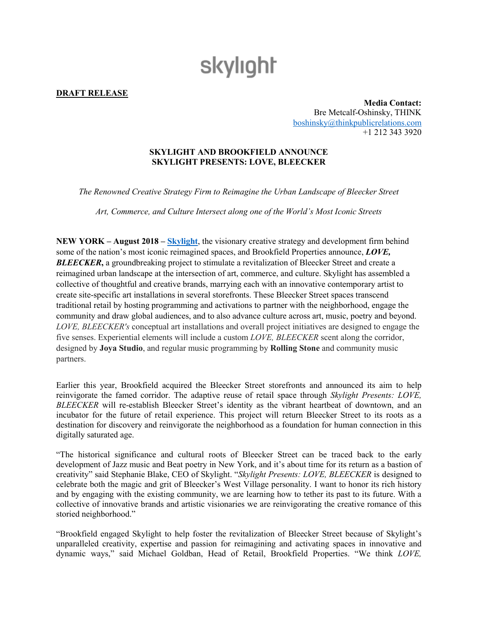## skylight

**DRAFT RELEASE**

**Media Contact:** Bre Metcalf-Oshinsky, THINK [boshinsky@thinkpublicrelations.com](mailto:boshinsky@thinkpublicrelations.com) +1 212 343 3920

## **SKYLIGHT AND BROOKFIELD ANNOUNCE SKYLIGHT PRESENTS: LOVE, BLEECKER**

*The Renowned Creative Strategy Firm to Reimagine the Urban Landscape of Bleecker Street*

*Art, Commerce, and Culture Intersect along one of the World's Most Iconic Streets* 

**NEW YORK – August 2018 – [Skylight](http://www.skylightstudios.com/)**, the visionary creative strategy and development firm behind some of the nation's most iconic reimagined spaces, and Brookfield Properties announce, *LOVE,*  **BLEECKER**, a groundbreaking project to stimulate a revitalization of Bleecker Street and create a reimagined urban landscape at the intersection of art, commerce, and culture. Skylight has assembled a collective of thoughtful and creative brands, marrying each with an innovative contemporary artist to create site-specific art installations in several storefronts. These Bleecker Street spaces transcend traditional retail by hosting programming and activations to partner with the neighborhood, engage the community and draw global audiences, and to also advance culture across art, music, poetry and beyond. *LOVE, BLEECKER's* conceptual art installations and overall project initiatives are designed to engage the five senses. Experiential elements will include a custom *LOVE, BLEECKER* scent along the corridor, designed by **Joya Studio**, and regular music programming by **Rolling Stone** and community music partners.

Earlier this year, Brookfield acquired the Bleecker Street storefronts and announced its aim to help reinvigorate the famed corridor. The adaptive reuse of retail space through *Skylight Presents: LOVE, BLEECKER* will re-establish Bleecker Street's identity as the vibrant heartbeat of downtown, and an incubator for the future of retail experience. This project will return Bleecker Street to its roots as a destination for discovery and reinvigorate the neighborhood as a foundation for human connection in this digitally saturated age.

"The historical significance and cultural roots of Bleecker Street can be traced back to the early development of Jazz music and Beat poetry in New York, and it's about time for its return as a bastion of creativity" said Stephanie Blake, CEO of Skylight. "*Skylight Presents: LOVE, BLEECKER* is designed to celebrate both the magic and grit of Bleecker's West Village personality. I want to honor its rich history and by engaging with the existing community, we are learning how to tether its past to its future. With a collective of innovative brands and artistic visionaries we are reinvigorating the creative romance of this storied neighborhood."

"Brookfield engaged Skylight to help foster the revitalization of Bleecker Street because of Skylight's unparalleled creativity, expertise and passion for reimagining and activating spaces in innovative and dynamic ways," said Michael Goldban, Head of Retail, Brookfield Properties. "We think *LOVE,*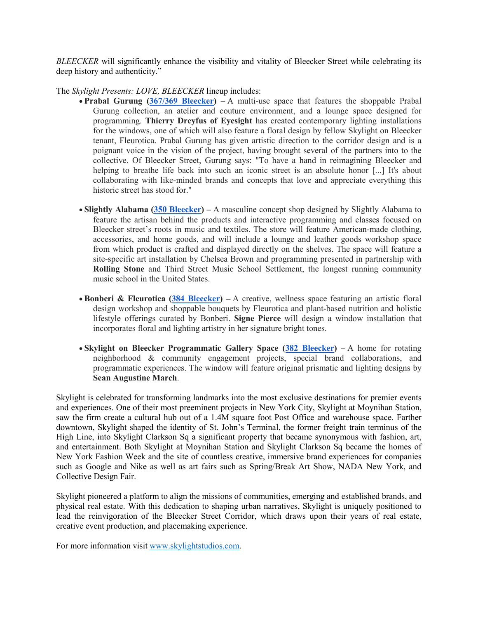*BLEECKER* will significantly enhance the visibility and vitality of Bleecker Street while celebrating its deep history and authenticity."

The *Skylight Presents: LOVE, BLEECKER* lineup includes:

- **Prabal Gurung [\(367/369 Bleecker\)](https://maps.google.com/?q=367/369+Bleecker&entry=gmail&source=g) –** A multi-use space that features the shoppable Prabal Gurung collection, an atelier and couture environment, and a lounge space designed for programming. **Thierry Dreyfus of Eyesight** has created contemporary lighting installations for the windows, one of which will also feature a floral design by fellow Skylight on Bleecker tenant, Fleurotica. Prabal Gurung has given artistic direction to the corridor design and is a poignant voice in the vision of the project, having brought several of the partners into to the collective. Of Bleecker Street, Gurung says: "To have a hand in reimagining Bleecker and helping to breathe life back into such an iconic street is an absolute honor [...] It's about collaborating with like-minded brands and concepts that love and appreciate everything this historic street has stood for."
- **Slightly Alabama (350 [Bleecker\)](https://maps.google.com/?q=350+Bleecker&entry=gmail&source=g) –** A masculine concept shop designed by Slightly Alabama to feature the artisan behind the products and interactive programming and classes focused on Bleecker street's roots in music and textiles. The store will feature American-made clothing, accessories, and home goods, and will include a lounge and leather goods workshop space from which product is crafted and displayed directly on the shelves. The space will feature a site-specific art installation by Chelsea Brown and programming presented in partnership with **Rolling Stone** and Third Street Music School Settlement, the longest running community music school in the United States.
- **Bonberi & Fleurotica [\(384 Bleecker\)](https://maps.google.com/?q=384+Bleecker&entry=gmail&source=g) –** A creative, wellness space featuring an artistic floral design workshop and shoppable bouquets by Fleurotica and plant-based nutrition and holistic lifestyle offerings curated by Bonberi. **Signe Pierce** will design a window installation that incorporates floral and lighting artistry in her signature bright tones.
- **Skylight on Bleecker Programmatic Gallery Space [\(382 Bleecker\)](https://maps.google.com/?q=382+Bleecker&entry=gmail&source=g) –** A home for rotating neighborhood & community engagement projects, special brand collaborations, and programmatic experiences. The window will feature original prismatic and lighting designs by **Sean Augustine March**.

Skylight is celebrated for transforming landmarks into the most exclusive destinations for premier events and experiences. One of their most preeminent projects in New York City, Skylight at Moynihan Station, saw the firm create a cultural hub out of a 1.4M square foot Post Office and warehouse space. Farther downtown, Skylight shaped the identity of St. John's Terminal, the former freight train terminus of the High Line, into Skylight Clarkson Sq a significant property that became synonymous with fashion, art, and entertainment. Both Skylight at Moynihan Station and Skylight Clarkson Sq became the homes of New York Fashion Week and the site of countless creative, immersive brand experiences for companies such as Google and Nike as well as art fairs such as Spring/Break Art Show, NADA New York, and Collective Design Fair.

Skylight pioneered a platform to align the missions of communities, emerging and established brands, and physical real estate. With this dedication to shaping urban narratives, Skylight is uniquely positioned to lead the reinvigoration of the Bleecker Street Corridor, which draws upon their years of real estate, creative event production, and placemaking experience.

For more information visit [www.skylightstudios.com.](http://www.skylightstudios.com/)